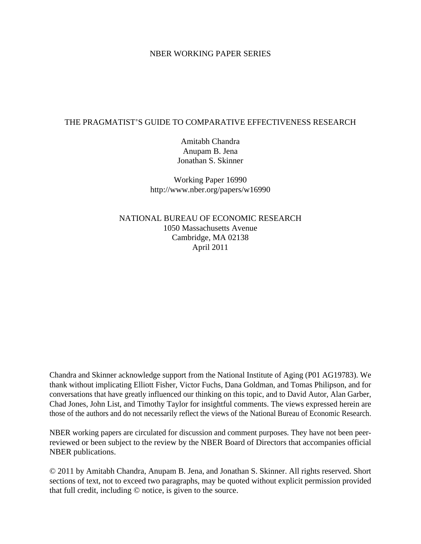## NBER WORKING PAPER SERIES

## THE PRAGMATIST'S GUIDE TO COMPARATIVE EFFECTIVENESS RESEARCH

Amitabh Chandra Anupam B. Jena Jonathan S. Skinner

Working Paper 16990 http://www.nber.org/papers/w16990

NATIONAL BUREAU OF ECONOMIC RESEARCH 1050 Massachusetts Avenue Cambridge, MA 02138 April 2011

Chandra and Skinner acknowledge support from the National Institute of Aging (P01 AG19783). We thank without implicating Elliott Fisher, Victor Fuchs, Dana Goldman, and Tomas Philipson, and for conversations that have greatly influenced our thinking on this topic, and to David Autor, Alan Garber, Chad Jones, John List, and Timothy Taylor for insightful comments. The views expressed herein are those of the authors and do not necessarily reflect the views of the National Bureau of Economic Research.

NBER working papers are circulated for discussion and comment purposes. They have not been peerreviewed or been subject to the review by the NBER Board of Directors that accompanies official NBER publications.

© 2011 by Amitabh Chandra, Anupam B. Jena, and Jonathan S. Skinner. All rights reserved. Short sections of text, not to exceed two paragraphs, may be quoted without explicit permission provided that full credit, including © notice, is given to the source.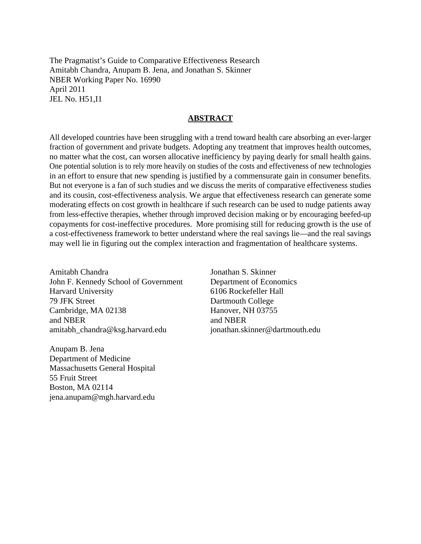The Pragmatist's Guide to Comparative Effectiveness Research Amitabh Chandra, Anupam B. Jena, and Jonathan S. Skinner NBER Working Paper No. 16990 April 2011 JEL No. H51,I1

## **ABSTRACT**

All developed countries have been struggling with a trend toward health care absorbing an ever-larger fraction of government and private budgets. Adopting any treatment that improves health outcomes, no matter what the cost, can worsen allocative inefficiency by paying dearly for small health gains. One potential solution is to rely more heavily on studies of the costs and effectiveness of new technologies in an effort to ensure that new spending is justified by a commensurate gain in consumer benefits. But not everyone is a fan of such studies and we discuss the merits of comparative effectiveness studies and its cousin, cost-effectiveness analysis. We argue that effectiveness research can generate some moderating effects on cost growth in healthcare if such research can be used to nudge patients away from less-effective therapies, whether through improved decision making or by encouraging beefed-up copayments for cost-ineffective procedures. More promising still for reducing growth is the use of a cost-effectiveness framework to better understand where the real savings lie—and the real savings may well lie in figuring out the complex interaction and fragmentation of healthcare systems.

Amitabh Chandra John F. Kennedy School of Government Harvard University 79 JFK Street Cambridge, MA 02138 and NBER amitabh\_chandra@ksg.harvard.edu

Anupam B. Jena Department of Medicine Massachusetts General Hospital 55 Fruit Street Boston, MA 02114 jena.anupam@mgh.harvard.edu

Jonathan S. Skinner Department of Economics 6106 Rockefeller Hall Dartmouth College Hanover, NH 03755 and NBER jonathan.skinner@dartmouth.edu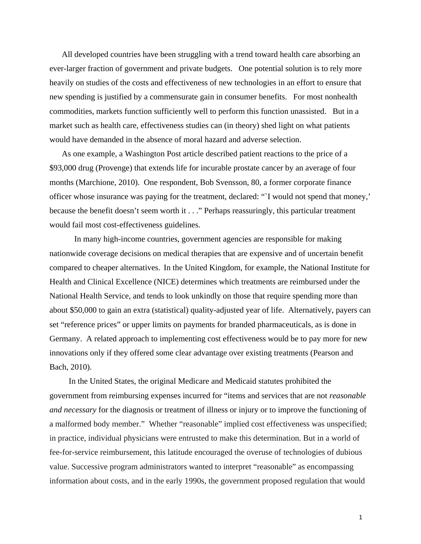All developed countries have been struggling with a trend toward health care absorbing an ever-larger fraction of government and private budgets. One potential solution is to rely more heavily on studies of the costs and effectiveness of new technologies in an effort to ensure that new spending is justified by a commensurate gain in consumer benefits. For most nonhealth commodities, markets function sufficiently well to perform this function unassisted. But in a market such as health care, effectiveness studies can (in theory) shed light on what patients would have demanded in the absence of moral hazard and adverse selection.

As one example, a Washington Post article described patient reactions to the price of a \$93,000 drug (Provenge) that extends life for incurable prostate cancer by an average of four months (Marchione, 2010). One respondent, Bob Svensson, 80, a former corporate finance officer whose insurance was paying for the treatment, declared: "`I would not spend that money,' because the benefit doesn't seem worth it . . ." Perhaps reassuringly, this particular treatment would fail most cost-effectiveness guidelines.

 In many high-income countries, government agencies are responsible for making nationwide coverage decisions on medical therapies that are expensive and of uncertain benefit compared to cheaper alternatives. In the United Kingdom, for example, the National Institute for Health and Clinical Excellence (NICE) determines which treatments are reimbursed under the National Health Service, and tends to look unkindly on those that require spending more than about \$50,000 to gain an extra (statistical) quality-adjusted year of life. Alternatively, payers can set "reference prices" or upper limits on payments for branded pharmaceuticals, as is done in Germany. A related approach to implementing cost effectiveness would be to pay more for new innovations only if they offered some clear advantage over existing treatments (Pearson and Bach, 2010).

 In the United States, the original Medicare and Medicaid statutes prohibited the government from reimbursing expenses incurred for "items and services that are not *reasonable and necessary* for the diagnosis or treatment of illness or injury or to improve the functioning of a malformed body member." Whether "reasonable" implied cost effectiveness was unspecified; in practice, individual physicians were entrusted to make this determination. But in a world of fee-for-service reimbursement, this latitude encouraged the overuse of technologies of dubious value. Successive program administrators wanted to interpret "reasonable" as encompassing information about costs, and in the early 1990s, the government proposed regulation that would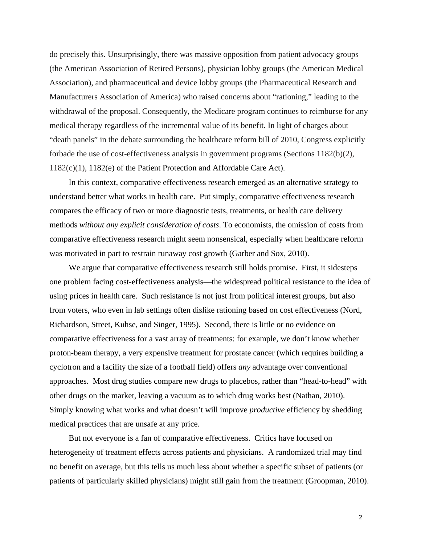do precisely this. Unsurprisingly, there was massive opposition from patient advocacy groups (the American Association of Retired Persons), physician lobby groups (the American Medical Association), and pharmaceutical and device lobby groups (the Pharmaceutical Research and Manufacturers Association of America) who raised concerns about "rationing," leading to the withdrawal of the proposal. Consequently, the Medicare program continues to reimburse for any medical therapy regardless of the incremental value of its benefit. In light of charges about "death panels" in the debate surrounding the healthcare reform bill of 2010, Congress explicitly forbade the use of cost-effectiveness analysis in government programs (Sections 1182(b)(2), 1182(c)(1), 1182(e) of the Patient Protection and Affordable Care Act).

In this context, comparative effectiveness research emerged as an alternative strategy to understand better what works in health care. Put simply, comparative effectiveness research compares the efficacy of two or more diagnostic tests, treatments, or health care delivery methods *without any explicit consideration of costs*. To economists, the omission of costs from comparative effectiveness research might seem nonsensical, especially when healthcare reform was motivated in part to restrain runaway cost growth (Garber and Sox, 2010).

 We argue that comparative effectiveness research still holds promise. First, it sidesteps one problem facing cost-effectiveness analysis—the widespread political resistance to the idea of using prices in health care. Such resistance is not just from political interest groups, but also from voters, who even in lab settings often dislike rationing based on cost effectiveness (Nord, Richardson, Street, Kuhse, and Singer, 1995). Second, there is little or no evidence on comparative effectiveness for a vast array of treatments: for example, we don't know whether proton-beam therapy, a very expensive treatment for prostate cancer (which requires building a cyclotron and a facility the size of a football field) offers *any* advantage over conventional approaches. Most drug studies compare new drugs to placebos, rather than "head-to-head" with other drugs on the market, leaving a vacuum as to which drug works best (Nathan, 2010). Simply knowing what works and what doesn't will improve *productive* efficiency by shedding medical practices that are unsafe at any price.

 But not everyone is a fan of comparative effectiveness. Critics have focused on heterogeneity of treatment effects across patients and physicians. A randomized trial may find no benefit on average, but this tells us much less about whether a specific subset of patients (or patients of particularly skilled physicians) might still gain from the treatment (Groopman, 2010).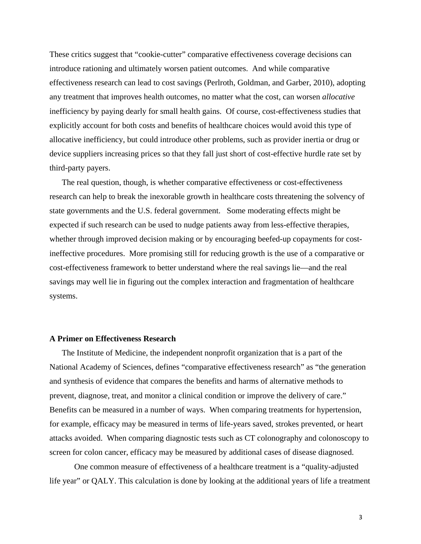These critics suggest that "cookie-cutter" comparative effectiveness coverage decisions can introduce rationing and ultimately worsen patient outcomes. And while comparative effectiveness research can lead to cost savings (Perlroth, Goldman, and Garber, 2010), adopting any treatment that improves health outcomes, no matter what the cost, can worsen *allocative* inefficiency by paying dearly for small health gains. Of course, cost-effectiveness studies that explicitly account for both costs and benefits of healthcare choices would avoid this type of allocative inefficiency, but could introduce other problems, such as provider inertia or drug or device suppliers increasing prices so that they fall just short of cost-effective hurdle rate set by third-party payers.

The real question, though, is whether comparative effectiveness or cost-effectiveness research can help to break the inexorable growth in healthcare costs threatening the solvency of state governments and the U.S. federal government. Some moderating effects might be expected if such research can be used to nudge patients away from less-effective therapies, whether through improved decision making or by encouraging beefed-up copayments for costineffective procedures. More promising still for reducing growth is the use of a comparative or cost-effectiveness framework to better understand where the real savings lie—and the real savings may well lie in figuring out the complex interaction and fragmentation of healthcare systems.

#### **A Primer on Effectiveness Research**

The Institute of Medicine, the independent nonprofit organization that is a part of the National Academy of Sciences, defines "comparative effectiveness research" as "the generation and synthesis of evidence that compares the benefits and harms of alternative methods to prevent, diagnose, treat, and monitor a clinical condition or improve the delivery of care." Benefits can be measured in a number of ways. When comparing treatments for hypertension, for example, efficacy may be measured in terms of life-years saved, strokes prevented, or heart attacks avoided. When comparing diagnostic tests such as CT colonography and colonoscopy to screen for colon cancer, efficacy may be measured by additional cases of disease diagnosed.

 One common measure of effectiveness of a healthcare treatment is a "quality-adjusted life year" or QALY. This calculation is done by looking at the additional years of life a treatment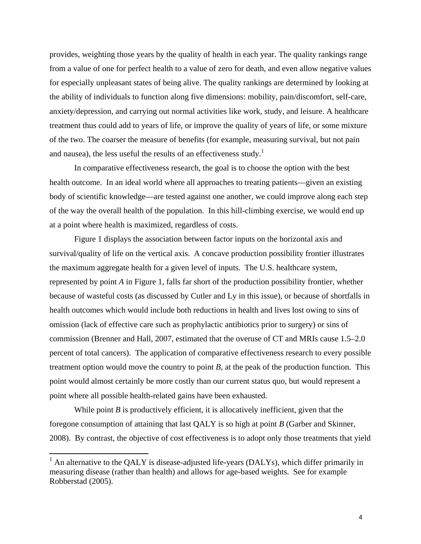provides, weighting those years by the quality of health in each year. The quality rankings range from a value of one for perfect health to a value of zero for death, and even allow negative values for especially unpleasant states of being alive. The quality rankings are determined by looking at the ability of individuals to function along five dimensions: mobility, pain/discomfort, self-care, anxiety/depression, and carrying out normal activities like work, study, and leisure. A healthcare treatment thus could add to years of life, or improve the quality of years of life, or some mixture of the two. The coarser the measure of benefits (for example, measuring survival, but not pain and nausea), the less useful the results of an effectiveness study.<sup>1</sup>

 In comparative effectiveness research, the goal is to choose the option with the best health outcome. In an ideal world where all approaches to treating patients—given an existing body of scientific knowledge—are tested against one another, we could improve along each step of the way the overall health of the population. In this hill-climbing exercise, we would end up at a point where health is maximized, regardless of costs.

 Figure 1 displays the association between factor inputs on the horizontal axis and survival/quality of life on the vertical axis. A concave production possibility frontier illustrates the maximum aggregate health for a given level of inputs. The U.S. healthcare system, represented by point *A* in Figure 1, falls far short of the production possibility frontier, whether because of wasteful costs (as discussed by Cutler and Ly in this issue), or because of shortfalls in health outcomes which would include both reductions in health and lives lost owing to sins of omission (lack of effective care such as prophylactic antibiotics prior to surgery) or sins of commission (Brenner and Hall, 2007, estimated that the overuse of CT and MRIs cause 1.5–2.0 percent of total cancers). The application of comparative effectiveness research to every possible treatment option would move the country to point *B*, at the peak of the production function. This point would almost certainly be more costly than our current status quo, but would represent a point where all possible health-related gains have been exhausted.

While point *B* is productively efficient, it is allocatively inefficient, given that the foregone consumption of attaining that last QALY is so high at point *B* (Garber and Skinner, 2008). By contrast, the objective of cost effectiveness is to adopt only those treatments that yield

<sup>&</sup>lt;sup>1</sup> An alternative to the QALY is disease-adjusted life-years (DALYs), which differ primarily in measuring disease (rather than health) and allows for age-based weights. See for example Robberstad (2005).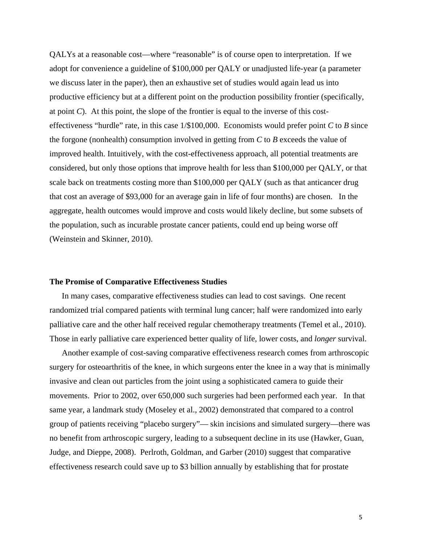QALYs at a reasonable cost—where "reasonable" is of course open to interpretation. If we adopt for convenience a guideline of \$100,000 per QALY or unadjusted life-year (a parameter we discuss later in the paper), then an exhaustive set of studies would again lead us into productive efficiency but at a different point on the production possibility frontier (specifically, at point *C*). At this point, the slope of the frontier is equal to the inverse of this costeffectiveness "hurdle" rate, in this case 1/\$100,000. Economists would prefer point *C* to *B* since the forgone (nonhealth) consumption involved in getting from *C* to *B* exceeds the value of improved health. Intuitively, with the cost-effectiveness approach, all potential treatments are considered, but only those options that improve health for less than \$100,000 per QALY, or that scale back on treatments costing more than \$100,000 per QALY (such as that anticancer drug that cost an average of \$93,000 for an average gain in life of four months) are chosen. In the aggregate, health outcomes would improve and costs would likely decline, but some subsets of the population, such as incurable prostate cancer patients, could end up being worse off (Weinstein and Skinner, 2010).

#### **The Promise of Comparative Effectiveness Studies**

In many cases, comparative effectiveness studies can lead to cost savings. One recent randomized trial compared patients with terminal lung cancer; half were randomized into early palliative care and the other half received regular chemotherapy treatments (Temel et al., 2010). Those in early palliative care experienced better quality of life, lower costs, and *longer* survival.

Another example of cost-saving comparative effectiveness research comes from arthroscopic surgery for osteoarthritis of the knee, in which surgeons enter the knee in a way that is minimally invasive and clean out particles from the joint using a sophisticated camera to guide their movements. Prior to 2002, over 650,000 such surgeries had been performed each year. In that same year, a landmark study (Moseley et al., 2002) demonstrated that compared to a control group of patients receiving "placebo surgery"— skin incisions and simulated surgery—there was no benefit from arthroscopic surgery, leading to a subsequent decline in its use (Hawker, Guan, Judge, and Dieppe, 2008). Perlroth, Goldman, and Garber (2010) suggest that comparative effectiveness research could save up to \$3 billion annually by establishing that for prostate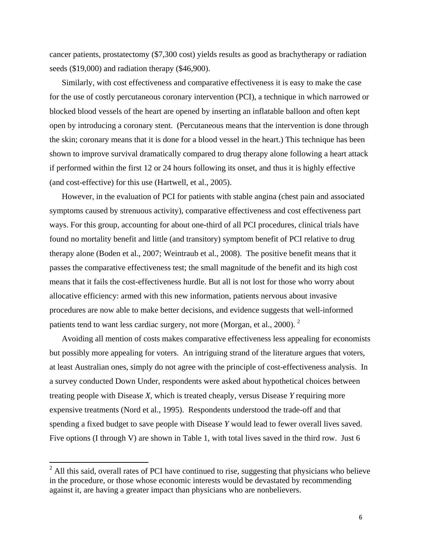cancer patients, prostatectomy (\$7,300 cost) yields results as good as brachytherapy or radiation seeds (\$19,000) and radiation therapy (\$46,900).

Similarly, with cost effectiveness and comparative effectiveness it is easy to make the case for the use of costly percutaneous coronary intervention (PCI), a technique in which narrowed or blocked blood vessels of the heart are opened by inserting an inflatable balloon and often kept open by introducing a coronary stent. (Percutaneous means that the intervention is done through the skin; coronary means that it is done for a blood vessel in the heart.) This technique has been shown to improve survival dramatically compared to drug therapy alone following a heart attack if performed within the first 12 or 24 hours following its onset, and thus it is highly effective (and cost-effective) for this use (Hartwell, et al., 2005).

However, in the evaluation of PCI for patients with stable angina (chest pain and associated symptoms caused by strenuous activity), comparative effectiveness and cost effectiveness part ways. For this group, accounting for about one-third of all PCI procedures, clinical trials have found no mortality benefit and little (and transitory) symptom benefit of PCI relative to drug therapy alone (Boden et al., 2007; Weintraub et al., 2008). The positive benefit means that it passes the comparative effectiveness test; the small magnitude of the benefit and its high cost means that it fails the cost-effectiveness hurdle. But all is not lost for those who worry about allocative efficiency: armed with this new information, patients nervous about invasive procedures are now able to make better decisions, and evidence suggests that well-informed patients tend to want less cardiac surgery, not more (Morgan, et al., 2000). 2

Avoiding all mention of costs makes comparative effectiveness less appealing for economists but possibly more appealing for voters. An intriguing strand of the literature argues that voters, at least Australian ones, simply do not agree with the principle of cost-effectiveness analysis. In a survey conducted Down Under, respondents were asked about hypothetical choices between treating people with Disease *X*, which is treated cheaply, versus Disease *Y* requiring more expensive treatments (Nord et al., 1995). Respondents understood the trade-off and that spending a fixed budget to save people with Disease *Y* would lead to fewer overall lives saved. Five options (I through V) are shown in Table 1, with total lives saved in the third row. Just 6

 $2$  All this said, overall rates of PCI have continued to rise, suggesting that physicians who believe in the procedure, or those whose economic interests would be devastated by recommending against it, are having a greater impact than physicians who are nonbelievers.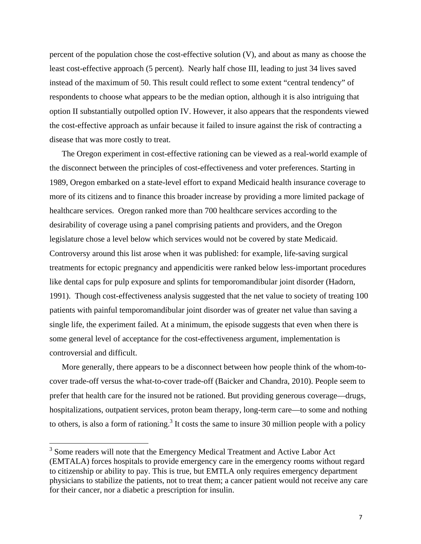percent of the population chose the cost-effective solution (V), and about as many as choose the least cost-effective approach (5 percent). Nearly half chose III, leading to just 34 lives saved instead of the maximum of 50. This result could reflect to some extent "central tendency" of respondents to choose what appears to be the median option, although it is also intriguing that option II substantially outpolled option IV. However, it also appears that the respondents viewed the cost-effective approach as unfair because it failed to insure against the risk of contracting a disease that was more costly to treat.

The Oregon experiment in cost-effective rationing can be viewed as a real-world example of the disconnect between the principles of cost-effectiveness and voter preferences. Starting in 1989, Oregon embarked on a state-level effort to expand Medicaid health insurance coverage to more of its citizens and to finance this broader increase by providing a more limited package of healthcare services. Oregon ranked more than 700 healthcare services according to the desirability of coverage using a panel comprising patients and providers, and the Oregon legislature chose a level below which services would not be covered by state Medicaid. Controversy around this list arose when it was published: for example, life-saving surgical treatments for ectopic pregnancy and appendicitis were ranked below less-important procedures like dental caps for pulp exposure and splints for temporomandibular joint disorder (Hadorn, 1991). Though cost-effectiveness analysis suggested that the net value to society of treating 100 patients with painful temporomandibular joint disorder was of greater net value than saving a single life, the experiment failed. At a minimum, the episode suggests that even when there is some general level of acceptance for the cost-effectiveness argument, implementation is controversial and difficult.

More generally, there appears to be a disconnect between how people think of the whom-tocover trade-off versus the what-to-cover trade-off (Baicker and Chandra, 2010). People seem to prefer that health care for the insured not be rationed. But providing generous coverage—drugs, hospitalizations, outpatient services, proton beam therapy, long-term care—to some and nothing to others, is also a form of rationing.<sup>3</sup> It costs the same to insure 30 million people with a policy

<sup>&</sup>lt;sup>3</sup> Some readers will note that the Emergency Medical Treatment and Active Labor Act (EMTALA) forces hospitals to provide emergency care in the emergency rooms without regard to citizenship or ability to pay. This is true, but EMTLA only requires emergency department physicians to stabilize the patients, not to treat them; a cancer patient would not receive any care for their cancer, nor a diabetic a prescription for insulin.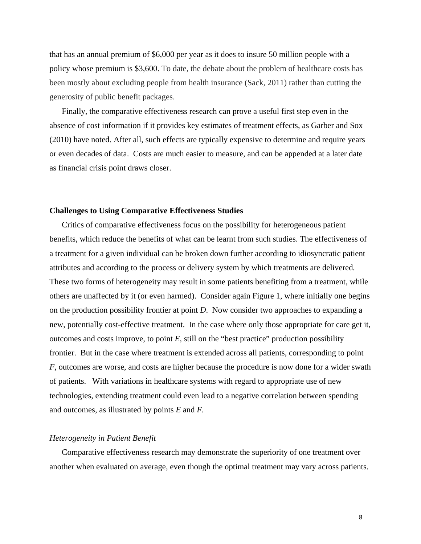that has an annual premium of \$6,000 per year as it does to insure 50 million people with a policy whose premium is \$3,600. To date, the debate about the problem of healthcare costs has been mostly about excluding people from health insurance (Sack, 2011) rather than cutting the generosity of public benefit packages.

Finally, the comparative effectiveness research can prove a useful first step even in the absence of cost information if it provides key estimates of treatment effects, as Garber and Sox (2010) have noted. After all, such effects are typically expensive to determine and require years or even decades of data. Costs are much easier to measure, and can be appended at a later date as financial crisis point draws closer.

#### **Challenges to Using Comparative Effectiveness Studies**

Critics of comparative effectiveness focus on the possibility for heterogeneous patient benefits, which reduce the benefits of what can be learnt from such studies. The effectiveness of a treatment for a given individual can be broken down further according to idiosyncratic patient attributes and according to the process or delivery system by which treatments are delivered*.* These two forms of heterogeneity may result in some patients benefiting from a treatment, while others are unaffected by it (or even harmed). Consider again Figure 1, where initially one begins on the production possibility frontier at point *D*. Now consider two approaches to expanding a new, potentially cost-effective treatment. In the case where only those appropriate for care get it, outcomes and costs improve, to point *E*, still on the "best practice" production possibility frontier. But in the case where treatment is extended across all patients, corresponding to point *F*, outcomes are worse, and costs are higher because the procedure is now done for a wider swath of patients. With variations in healthcare systems with regard to appropriate use of new technologies, extending treatment could even lead to a negative correlation between spending and outcomes, as illustrated by points *E* and *F.*

## *Heterogeneity in Patient Benefit*

Comparative effectiveness research may demonstrate the superiority of one treatment over another when evaluated on average, even though the optimal treatment may vary across patients.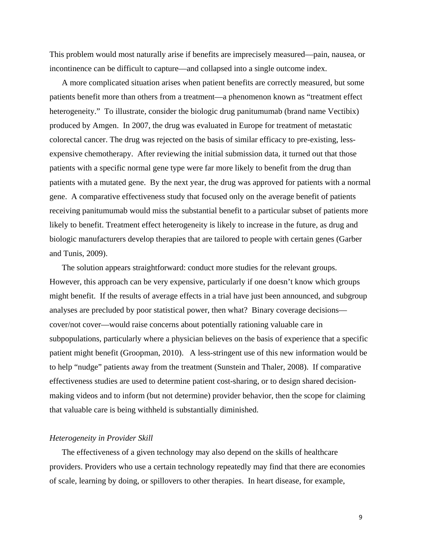This problem would most naturally arise if benefits are imprecisely measured—pain, nausea, or incontinence can be difficult to capture—and collapsed into a single outcome index.

A more complicated situation arises when patient benefits are correctly measured, but some patients benefit more than others from a treatment—a phenomenon known as "treatment effect heterogeneity." To illustrate, consider the biologic drug panitumumab (brand name Vectibix) produced by Amgen. In 2007, the drug was evaluated in Europe for treatment of metastatic colorectal cancer. The drug was rejected on the basis of similar efficacy to pre-existing, lessexpensive chemotherapy. After reviewing the initial submission data, it turned out that those patients with a specific normal gene type were far more likely to benefit from the drug than patients with a mutated gene. By the next year, the drug was approved for patients with a normal gene. A comparative effectiveness study that focused only on the average benefit of patients receiving panitumumab would miss the substantial benefit to a particular subset of patients more likely to benefit. Treatment effect heterogeneity is likely to increase in the future, as drug and biologic manufacturers develop therapies that are tailored to people with certain genes (Garber and Tunis, 2009).

The solution appears straightforward: conduct more studies for the relevant groups. However, this approach can be very expensive, particularly if one doesn't know which groups might benefit. If the results of average effects in a trial have just been announced, and subgroup analyses are precluded by poor statistical power, then what? Binary coverage decisions cover/not cover—would raise concerns about potentially rationing valuable care in subpopulations, particularly where a physician believes on the basis of experience that a specific patient might benefit (Groopman, 2010). A less-stringent use of this new information would be to help "nudge" patients away from the treatment (Sunstein and Thaler, 2008). If comparative effectiveness studies are used to determine patient cost-sharing, or to design shared decisionmaking videos and to inform (but not determine) provider behavior, then the scope for claiming that valuable care is being withheld is substantially diminished.

## *Heterogeneity in Provider Skill*

The effectiveness of a given technology may also depend on the skills of healthcare providers. Providers who use a certain technology repeatedly may find that there are economies of scale, learning by doing, or spillovers to other therapies. In heart disease, for example,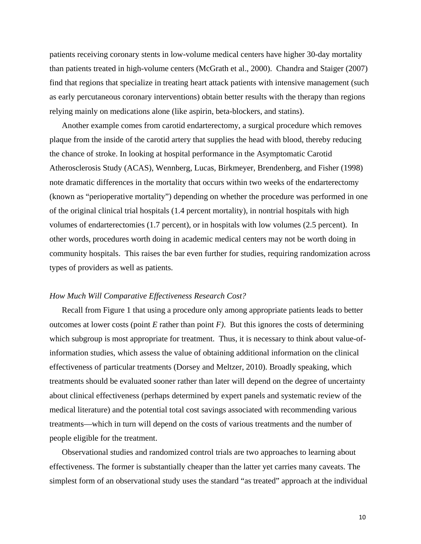patients receiving coronary stents in low-volume medical centers have higher 30-day mortality than patients treated in high-volume centers (McGrath et al., 2000). Chandra and Staiger (2007) find that regions that specialize in treating heart attack patients with intensive management (such as early percutaneous coronary interventions) obtain better results with the therapy than regions relying mainly on medications alone (like aspirin, beta-blockers, and statins).

Another example comes from carotid endarterectomy, a surgical procedure which removes plaque from the inside of the carotid artery that supplies the head with blood, thereby reducing the chance of stroke. In looking at hospital performance in the Asymptomatic Carotid Atherosclerosis Study (ACAS), Wennberg, Lucas, Birkmeyer, Brendenberg, and Fisher (1998) note dramatic differences in the mortality that occurs within two weeks of the endarterectomy (known as "perioperative mortality") depending on whether the procedure was performed in one of the original clinical trial hospitals (1.4 percent mortality), in nontrial hospitals with high volumes of endarterectomies (1.7 percent), or in hospitals with low volumes (2.5 percent). In other words, procedures worth doing in academic medical centers may not be worth doing in community hospitals. This raises the bar even further for studies, requiring randomization across types of providers as well as patients.

## *How Much Will Comparative Effectiveness Research Cost?*

Recall from Figure 1 that using a procedure only among appropriate patients leads to better outcomes at lower costs (point *E* rather than point *F)*. But this ignores the costs of determining which subgroup is most appropriate for treatment. Thus, it is necessary to think about value-ofinformation studies, which assess the value of obtaining additional information on the clinical effectiveness of particular treatments (Dorsey and Meltzer, 2010). Broadly speaking, which treatments should be evaluated sooner rather than later will depend on the degree of uncertainty about clinical effectiveness (perhaps determined by expert panels and systematic review of the medical literature) and the potential total cost savings associated with recommending various treatments—which in turn will depend on the costs of various treatments and the number of people eligible for the treatment.

Observational studies and randomized control trials are two approaches to learning about effectiveness. The former is substantially cheaper than the latter yet carries many caveats. The simplest form of an observational study uses the standard "as treated" approach at the individual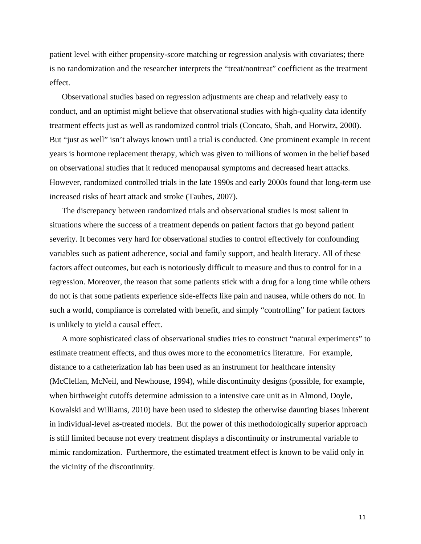patient level with either propensity-score matching or regression analysis with covariates; there is no randomization and the researcher interprets the "treat/nontreat" coefficient as the treatment effect.

Observational studies based on regression adjustments are cheap and relatively easy to conduct, and an optimist might believe that observational studies with high-quality data identify treatment effects just as well as randomized control trials (Concato, Shah, and Horwitz, 2000). But "just as well" isn't always known until a trial is conducted. One prominent example in recent years is hormone replacement therapy, which was given to millions of women in the belief based on observational studies that it reduced menopausal symptoms and decreased heart attacks. However, randomized controlled trials in the late 1990s and early 2000s found that long-term use increased risks of heart attack and stroke (Taubes, 2007).

The discrepancy between randomized trials and observational studies is most salient in situations where the success of a treatment depends on patient factors that go beyond patient severity. It becomes very hard for observational studies to control effectively for confounding variables such as patient adherence, social and family support, and health literacy. All of these factors affect outcomes, but each is notoriously difficult to measure and thus to control for in a regression. Moreover, the reason that some patients stick with a drug for a long time while others do not is that some patients experience side-effects like pain and nausea, while others do not. In such a world, compliance is correlated with benefit, and simply "controlling" for patient factors is unlikely to yield a causal effect.

A more sophisticated class of observational studies tries to construct "natural experiments" to estimate treatment effects, and thus owes more to the econometrics literature. For example, distance to a catheterization lab has been used as an instrument for healthcare intensity (McClellan, McNeil, and Newhouse, 1994), while discontinuity designs (possible, for example, when birthweight cutoffs determine admission to a intensive care unit as in Almond, Doyle, Kowalski and Williams, 2010) have been used to sidestep the otherwise daunting biases inherent in individual-level as-treated models. But the power of this methodologically superior approach is still limited because not every treatment displays a discontinuity or instrumental variable to mimic randomization. Furthermore, the estimated treatment effect is known to be valid only in the vicinity of the discontinuity.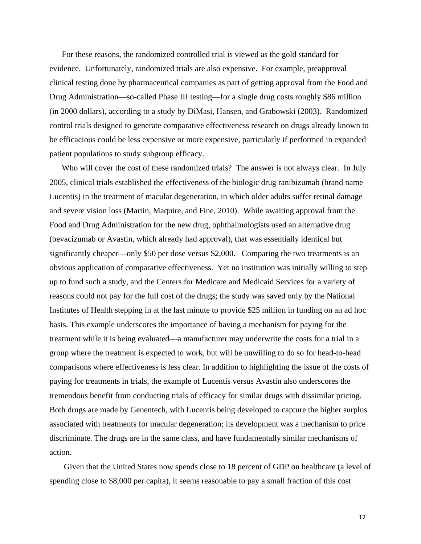For these reasons, the randomized controlled trial is viewed as the gold standard for evidence. Unfortunately, randomized trials are also expensive. For example, preapproval clinical testing done by pharmaceutical companies as part of getting approval from the Food and Drug Administration—so-called Phase III testing—for a single drug costs roughly \$86 million (in 2000 dollars), according to a study by DiMasi, Hansen, and Grabowski (2003). Randomized control trials designed to generate comparative effectiveness research on drugs already known to be efficacious could be less expensive or more expensive, particularly if performed in expanded patient populations to study subgroup efficacy.

Who will cover the cost of these randomized trials? The answer is not always clear. In July 2005, clinical trials established the effectiveness of the biologic drug ranibizumab (brand name Lucentis) in the treatment of macular degeneration, in which older adults suffer retinal damage and severe vision loss (Martin, Maquire, and Fine, 2010). While awaiting approval from the Food and Drug Administration for the new drug, ophthalmologists used an alternative drug (bevacizumab or Avastin, which already had approval), that was essentially identical but significantly cheaper—only \$50 per dose versus \$2,000. Comparing the two treatments is an obvious application of comparative effectiveness. Yet no institution was initially willing to step up to fund such a study, and the Centers for Medicare and Medicaid Services for a variety of reasons could not pay for the full cost of the drugs; the study was saved only by the National Institutes of Health stepping in at the last minute to provide \$25 million in funding on an ad hoc basis. This example underscores the importance of having a mechanism for paying for the treatment while it is being evaluated—a manufacturer may underwrite the costs for a trial in a group where the treatment is expected to work, but will be unwilling to do so for head-to-head comparisons where effectiveness is less clear. In addition to highlighting the issue of the costs of paying for treatments in trials, the example of Lucentis versus Avastin also underscores the tremendous benefit from conducting trials of efficacy for similar drugs with dissimilar pricing. Both drugs are made by Genentech, with Lucentis being developed to capture the higher surplus associated with treatments for macular degeneration; its development was a mechanism to price discriminate. The drugs are in the same class, and have fundamentally similar mechanisms of action.

Given that the United States now spends close to 18 percent of GDP on healthcare (a level of spending close to \$8,000 per capita), it seems reasonable to pay a small fraction of this cost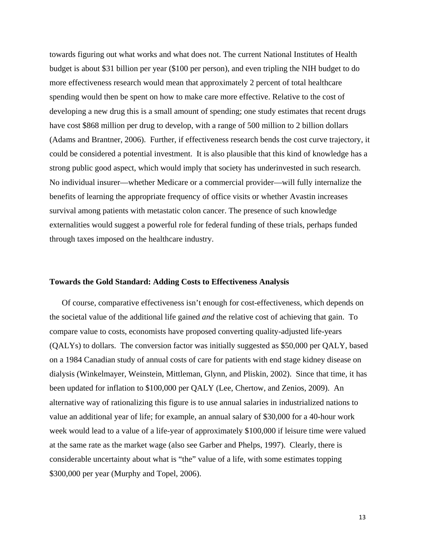towards figuring out what works and what does not. The current National Institutes of Health budget is about \$31 billion per year (\$100 per person), and even tripling the NIH budget to do more effectiveness research would mean that approximately 2 percent of total healthcare spending would then be spent on how to make care more effective. Relative to the cost of developing a new drug this is a small amount of spending; one study estimates that recent drugs have cost \$868 million per drug to develop, with a range of 500 million to 2 billion dollars (Adams and Brantner, 2006). Further, if effectiveness research bends the cost curve trajectory, it could be considered a potential investment. It is also plausible that this kind of knowledge has a strong public good aspect, which would imply that society has underinvested in such research. No individual insurer—whether Medicare or a commercial provider—will fully internalize the benefits of learning the appropriate frequency of office visits or whether Avastin increases survival among patients with metastatic colon cancer. The presence of such knowledge externalities would suggest a powerful role for federal funding of these trials, perhaps funded through taxes imposed on the healthcare industry.

#### **Towards the Gold Standard: Adding Costs to Effectiveness Analysis**

Of course, comparative effectiveness isn't enough for cost-effectiveness, which depends on the societal value of the additional life gained *and* the relative cost of achieving that gain. To compare value to costs, economists have proposed converting quality-adjusted life-years (QALYs) to dollars. The conversion factor was initially suggested as \$50,000 per QALY, based on a 1984 Canadian study of annual costs of care for patients with end stage kidney disease on dialysis (Winkelmayer, Weinstein, Mittleman, Glynn, and Pliskin, 2002). Since that time, it has been updated for inflation to \$100,000 per QALY (Lee, Chertow, and Zenios, 2009). An alternative way of rationalizing this figure is to use annual salaries in industrialized nations to value an additional year of life; for example, an annual salary of \$30,000 for a 40-hour work week would lead to a value of a life-year of approximately \$100,000 if leisure time were valued at the same rate as the market wage (also see Garber and Phelps, 1997). Clearly, there is considerable uncertainty about what is "the" value of a life, with some estimates topping \$300,000 per year (Murphy and Topel, 2006).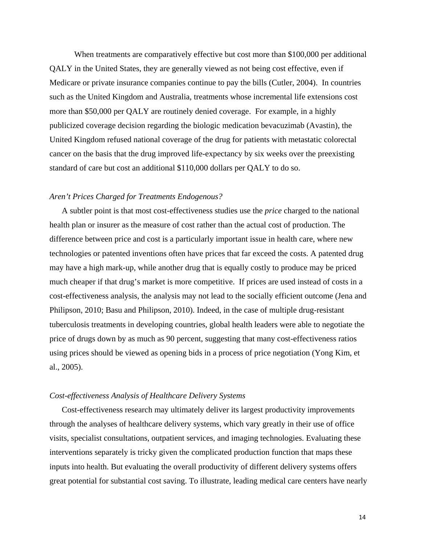When treatments are comparatively effective but cost more than \$100,000 per additional QALY in the United States, they are generally viewed as not being cost effective, even if Medicare or private insurance companies continue to pay the bills (Cutler, 2004). In countries such as the United Kingdom and Australia, treatments whose incremental life extensions cost more than \$50,000 per QALY are routinely denied coverage. For example, in a highly publicized coverage decision regarding the biologic medication bevacuzimab (Avastin), the United Kingdom refused national coverage of the drug for patients with metastatic colorectal cancer on the basis that the drug improved life-expectancy by six weeks over the preexisting standard of care but cost an additional \$110,000 dollars per QALY to do so.

## *Aren't Prices Charged for Treatments Endogenous?*

A subtler point is that most cost-effectiveness studies use the *price* charged to the national health plan or insurer as the measure of cost rather than the actual cost of production. The difference between price and cost is a particularly important issue in health care, where new technologies or patented inventions often have prices that far exceed the costs. A patented drug may have a high mark-up, while another drug that is equally costly to produce may be priced much cheaper if that drug's market is more competitive. If prices are used instead of costs in a cost-effectiveness analysis, the analysis may not lead to the socially efficient outcome (Jena and Philipson, 2010; Basu and Philipson, 2010). Indeed, in the case of multiple drug-resistant tuberculosis treatments in developing countries, global health leaders were able to negotiate the price of drugs down by as much as 90 percent, suggesting that many cost-effectiveness ratios using prices should be viewed as opening bids in a process of price negotiation (Yong Kim, et al., 2005).

#### *Cost-effectiveness Analysis of Healthcare Delivery Systems*

Cost-effectiveness research may ultimately deliver its largest productivity improvements through the analyses of healthcare delivery systems, which vary greatly in their use of office visits, specialist consultations, outpatient services, and imaging technologies. Evaluating these interventions separately is tricky given the complicated production function that maps these inputs into health. But evaluating the overall productivity of different delivery systems offers great potential for substantial cost saving. To illustrate, leading medical care centers have nearly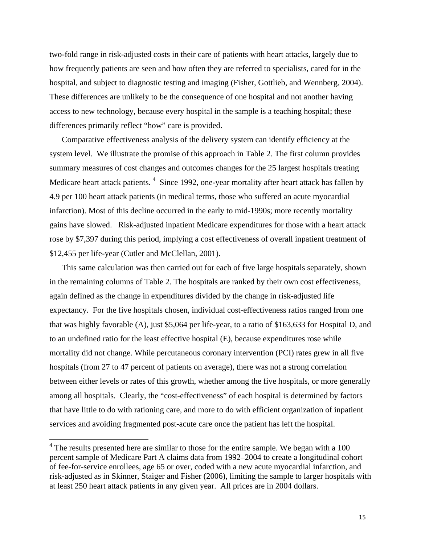two-fold range in risk-adjusted costs in their care of patients with heart attacks, largely due to how frequently patients are seen and how often they are referred to specialists, cared for in the hospital, and subject to diagnostic testing and imaging (Fisher, Gottlieb, and Wennberg, 2004). These differences are unlikely to be the consequence of one hospital and not another having access to new technology, because every hospital in the sample is a teaching hospital; these differences primarily reflect "how" care is provided.

Comparative effectiveness analysis of the delivery system can identify efficiency at the system level. We illustrate the promise of this approach in Table 2. The first column provides summary measures of cost changes and outcomes changes for the 25 largest hospitals treating Medicare heart attack patients. <sup>4</sup> Since 1992, one-year mortality after heart attack has fallen by 4.9 per 100 heart attack patients (in medical terms, those who suffered an acute myocardial infarction). Most of this decline occurred in the early to mid-1990s; more recently mortality gains have slowed. Risk-adjusted inpatient Medicare expenditures for those with a heart attack rose by \$7,397 during this period, implying a cost effectiveness of overall inpatient treatment of \$12,455 per life-year (Cutler and McClellan, 2001).

This same calculation was then carried out for each of five large hospitals separately, shown in the remaining columns of Table 2. The hospitals are ranked by their own cost effectiveness, again defined as the change in expenditures divided by the change in risk-adjusted life expectancy. For the five hospitals chosen, individual cost-effectiveness ratios ranged from one that was highly favorable (A), just \$5,064 per life-year, to a ratio of \$163,633 for Hospital D, and to an undefined ratio for the least effective hospital (E), because expenditures rose while mortality did not change. While percutaneous coronary intervention (PCI) rates grew in all five hospitals (from 27 to 47 percent of patients on average), there was not a strong correlation between either levels or rates of this growth, whether among the five hospitals, or more generally among all hospitals. Clearly, the "cost-effectiveness" of each hospital is determined by factors that have little to do with rationing care, and more to do with efficient organization of inpatient services and avoiding fragmented post-acute care once the patient has left the hospital.

<sup>&</sup>lt;sup>4</sup> The results presented here are similar to those for the entire sample. We began with a 100 percent sample of Medicare Part A claims data from 1992–2004 to create a longitudinal cohort of fee-for-service enrollees, age 65 or over, coded with a new acute myocardial infarction, and risk-adjusted as in Skinner, Staiger and Fisher (2006), limiting the sample to larger hospitals with at least 250 heart attack patients in any given year. All prices are in 2004 dollars.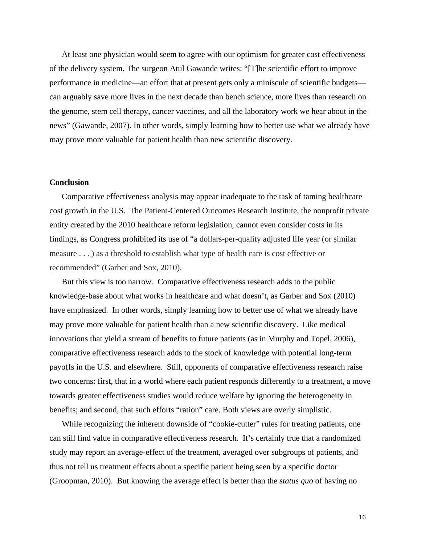At least one physician would seem to agree with our optimism for greater cost effectiveness of the delivery system. The surgeon Atul Gawande writes: "[T]he scientific effort to improve performance in medicine—an effort that at present gets only a miniscule of scientific budgets can arguably save more lives in the next decade than bench science, more lives than research on the genome, stem cell therapy, cancer vaccines, and all the laboratory work we hear about in the news" (Gawande, 2007). In other words, simply learning how to better use what we already have may prove more valuable for patient health than new scientific discovery.

#### **Conclusion**

Comparative effectiveness analysis may appear inadequate to the task of taming healthcare cost growth in the U.S. The Patient-Centered Outcomes Research Institute, the nonprofit private entity created by the 2010 healthcare reform legislation, cannot even consider costs in its findings, as Congress prohibited its use of "a dollars-per-quality adjusted life year (or similar measure . . . ) as a threshold to establish what type of health care is cost effective or recommended" (Garber and Sox, 2010).

But this view is too narrow. Comparative effectiveness research adds to the public knowledge-base about what works in healthcare and what doesn't, as Garber and Sox (2010) have emphasized. In other words, simply learning how to better use of what we already have may prove more valuable for patient health than a new scientific discovery. Like medical innovations that yield a stream of benefits to future patients (as in Murphy and Topel, 2006), comparative effectiveness research adds to the stock of knowledge with potential long-term payoffs in the U.S. and elsewhere. Still, opponents of comparative effectiveness research raise two concerns: first, that in a world where each patient responds differently to a treatment, a move towards greater effectiveness studies would reduce welfare by ignoring the heterogeneity in benefits; and second, that such efforts "ration" care. Both views are overly simplistic.

While recognizing the inherent downside of "cookie-cutter" rules for treating patients, one can still find value in comparative effectiveness research. It's certainly true that a randomized study may report an average-effect of the treatment, averaged over subgroups of patients, and thus not tell us treatment effects about a specific patient being seen by a specific doctor (Groopman, 2010). But knowing the average effect is better than the *status quo* of having no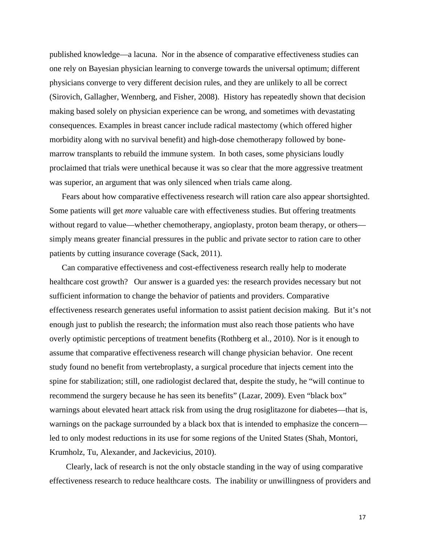published knowledge—a lacuna. Nor in the absence of comparative effectiveness studies can one rely on Bayesian physician learning to converge towards the universal optimum; different physicians converge to very different decision rules, and they are unlikely to all be correct (Sirovich, Gallagher, Wennberg, and Fisher, 2008). History has repeatedly shown that decision making based solely on physician experience can be wrong, and sometimes with devastating consequences. Examples in breast cancer include radical mastectomy (which offered higher morbidity along with no survival benefit) and high-dose chemotherapy followed by bonemarrow transplants to rebuild the immune system. In both cases, some physicians loudly proclaimed that trials were unethical because it was so clear that the more aggressive treatment was superior, an argument that was only silenced when trials came along.

Fears about how comparative effectiveness research will ration care also appear shortsighted. Some patients will get *more* valuable care with effectiveness studies. But offering treatments without regard to value—whether chemotherapy, angioplasty, proton beam therapy, or others simply means greater financial pressures in the public and private sector to ration care to other patients by cutting insurance coverage (Sack, 2011).

Can comparative effectiveness and cost-effectiveness research really help to moderate healthcare cost growth? Our answer is a guarded yes: the research provides necessary but not sufficient information to change the behavior of patients and providers. Comparative effectiveness research generates useful information to assist patient decision making. But it's not enough just to publish the research; the information must also reach those patients who have overly optimistic perceptions of treatment benefits (Rothberg et al., 2010). Nor is it enough to assume that comparative effectiveness research will change physician behavior. One recent study found no benefit from vertebroplasty, a surgical procedure that injects cement into the spine for stabilization; still, one radiologist declared that, despite the study, he "will continue to recommend the surgery because he has seen its benefits" (Lazar, 2009). Even "black box" warnings about elevated heart attack risk from using the drug rosiglitazone for diabetes—that is, warnings on the package surrounded by a black box that is intended to emphasize the concern led to only modest reductions in its use for some regions of the United States (Shah, Montori, Krumholz, Tu, Alexander, and Jackevicius, 2010).

 Clearly, lack of research is not the only obstacle standing in the way of using comparative effectiveness research to reduce healthcare costs. The inability or unwillingness of providers and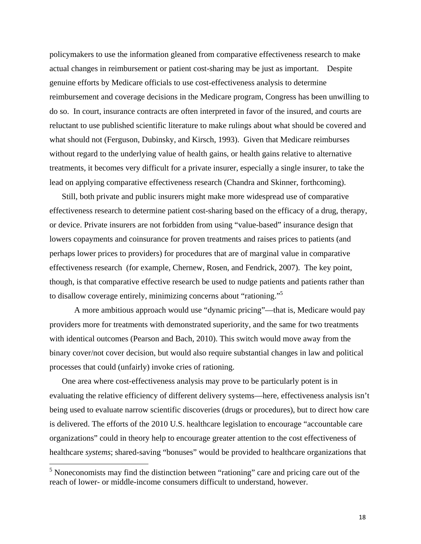policymakers to use the information gleaned from comparative effectiveness research to make actual changes in reimbursement or patient cost-sharing may be just as important. Despite genuine efforts by Medicare officials to use cost-effectiveness analysis to determine reimbursement and coverage decisions in the Medicare program, Congress has been unwilling to do so. In court, insurance contracts are often interpreted in favor of the insured, and courts are reluctant to use published scientific literature to make rulings about what should be covered and what should not (Ferguson, Dubinsky, and Kirsch, 1993). Given that Medicare reimburses without regard to the underlying value of health gains, or health gains relative to alternative treatments, it becomes very difficult for a private insurer, especially a single insurer, to take the lead on applying comparative effectiveness research (Chandra and Skinner, forthcoming).

Still, both private and public insurers might make more widespread use of comparative effectiveness research to determine patient cost-sharing based on the efficacy of a drug, therapy, or device. Private insurers are not forbidden from using "value-based" insurance design that lowers copayments and coinsurance for proven treatments and raises prices to patients (and perhaps lower prices to providers) for procedures that are of marginal value in comparative effectiveness research (for example, Chernew, Rosen, and Fendrick, 2007). The key point, though, is that comparative effective research be used to nudge patients and patients rather than to disallow coverage entirely, minimizing concerns about "rationing."<sup>5</sup>

 A more ambitious approach would use "dynamic pricing"—that is, Medicare would pay providers more for treatments with demonstrated superiority, and the same for two treatments with identical outcomes (Pearson and Bach, 2010). This switch would move away from the binary cover/not cover decision, but would also require substantial changes in law and political processes that could (unfairly) invoke cries of rationing.

One area where cost-effectiveness analysis may prove to be particularly potent is in evaluating the relative efficiency of different delivery systems—here, effectiveness analysis isn't being used to evaluate narrow scientific discoveries (drugs or procedures), but to direct how care is delivered. The efforts of the 2010 U.S. healthcare legislation to encourage "accountable care organizations" could in theory help to encourage greater attention to the cost effectiveness of healthcare *systems*; shared-saving "bonuses" would be provided to healthcare organizations that

 $<sup>5</sup>$  Noneconomists may find the distinction between "rationing" care and pricing care out of the</sup> reach of lower- or middle-income consumers difficult to understand, however.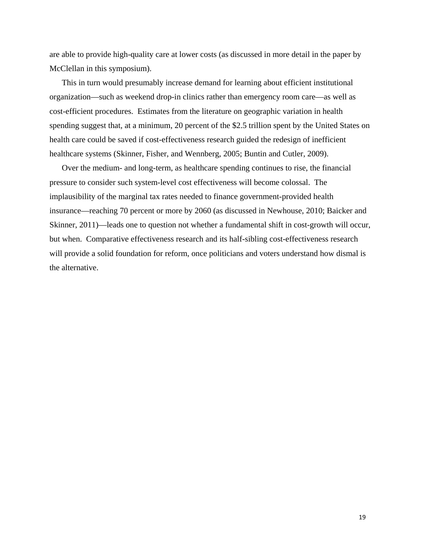are able to provide high-quality care at lower costs (as discussed in more detail in the paper by McClellan in this symposium).

This in turn would presumably increase demand for learning about efficient institutional organization—such as weekend drop-in clinics rather than emergency room care—as well as cost-efficient procedures. Estimates from the literature on geographic variation in health spending suggest that, at a minimum, 20 percent of the \$2.5 trillion spent by the United States on health care could be saved if cost-effectiveness research guided the redesign of inefficient healthcare systems (Skinner, Fisher, and Wennberg, 2005; Buntin and Cutler, 2009).

Over the medium- and long-term, as healthcare spending continues to rise, the financial pressure to consider such system-level cost effectiveness will become colossal. The implausibility of the marginal tax rates needed to finance government-provided health insurance—reaching 70 percent or more by 2060 (as discussed in Newhouse, 2010; Baicker and Skinner, 2011)—leads one to question not whether a fundamental shift in cost-growth will occur, but when. Comparative effectiveness research and its half-sibling cost-effectiveness research will provide a solid foundation for reform, once politicians and voters understand how dismal is the alternative.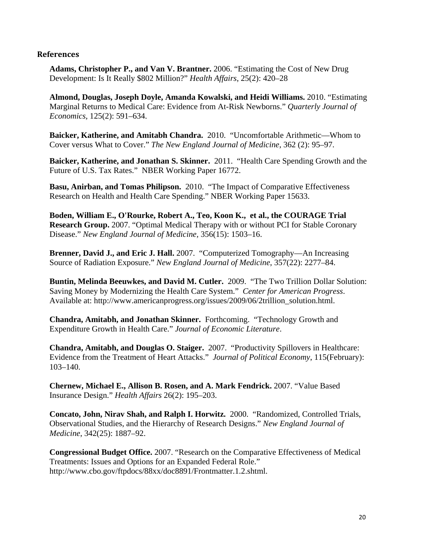## **References**

**Adams, Christopher P., and Van V. Brantner.** 2006. "Estimating the Cost of New Drug Development: Is It Really \$802 Million?" *Health Affairs*, 25(2): 420–28

**Almond, Douglas, Joseph Doyle, Amanda Kowalski, and Heidi Williams.** 2010. "Estimating Marginal Returns to Medical Care: Evidence from At-Risk Newborns." *Quarterly Journal of Economics,* 125(2): 591–634.

**Baicker, Katherine, and Amitabh Chandra.** 2010. "Uncomfortable Arithmetic—Whom to Cover versus What to Cover." *The New England Journal of Medicine*, 362 (2): 95–97.

**Baicker, Katherine, and Jonathan S. Skinner.** 2011. "Health Care Spending Growth and the Future of U.S. Tax Rates." NBER Working Paper 16772.

**Basu, Anirban, and Tomas Philipson.** 2010. "The Impact of Comparative Effectiveness Research on Health and Health Care Spending." NBER Working Paper 15633.

**Boden, William E., O'Rourke, Robert A., Teo, Koon K., et al., the COURAGE Trial Research Group.** 2007. "Optimal Medical Therapy with or without PCI for Stable Coronary Disease." *New England Journal of Medicine,* 356(15): 1503–16.

**Brenner, David J., and Eric J. Hall.** 2007. "Computerized Tomography—An Increasing Source of Radiation Exposure." *New England Journal of Medicine*, 357(22): 2277–84.

**Buntin, Melinda Beeuwkes, and David M. Cutler.** 2009. "The Two Trillion Dollar Solution: Saving Money by Modernizing the Health Care System." *Center for American Progress*. Available at: http://www.americanprogress.org/issues/2009/06/2trillion\_solution.html.

**Chandra, Amitabh, and Jonathan Skinner.** Forthcoming. "Technology Growth and Expenditure Growth in Health Care." *Journal of Economic Literature*.

**Chandra, Amitabh, and Douglas O. Staiger.** 2007. "Productivity Spillovers in Healthcare: Evidence from the Treatment of Heart Attacks." *Journal of Political Economy*, 115(February): 103–140.

**Chernew, Michael E., Allison B. Rosen, and A. Mark Fendrick.** 2007. "Value Based Insurance Design." *Health Affairs* 26(2): 195–203.

**Concato, John, Nirav Shah, and Ralph I. Horwitz.** 2000. "Randomized, Controlled Trials, Observational Studies, and the Hierarchy of Research Designs." *New England Journal of Medicine*, 342(25): 1887–92.

**Congressional Budget Office.** 2007. "Research on the Comparative Effectiveness of Medical Treatments: Issues and Options for an Expanded Federal Role." http://www.cbo.gov/ftpdocs/88xx/doc8891/Frontmatter.1.2.shtml.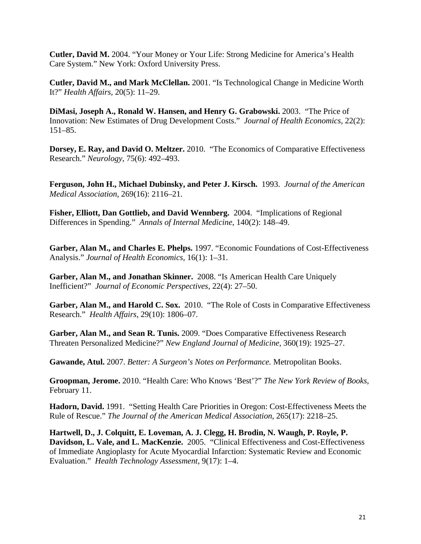**Cutler, David M.** 2004. "Your Money or Your Life: Strong Medicine for America's Health Care System." New York: Oxford University Press.

**Cutler, David M., and Mark McClellan.** 2001. "Is Technological Change in Medicine Worth It?" *Health Affairs,* 20(5): 11–29.

**DiMasi, Joseph A., Ronald W. Hansen, and Henry G. Grabowski.** 2003. "The Price of Innovation: New Estimates of Drug Development Costs." *Journal of Health Economics,* 22(2): 151–85.

**Dorsey, E. Ray, and David O. Meltzer.** 2010. "The Economics of Comparative Effectiveness Research." *Neurology*, 75(6): 492–493.

**Ferguson, John H., Michael Dubinsky, and Peter J. Kirsch.** 1993. *Journal of the American Medical Association*, 269(16): 2116–21.

**Fisher, Elliott, Dan Gottlieb, and David Wennberg.** 2004. "Implications of Regional Differences in Spending." *Annals of Internal Medicine*, 140(2): 148–49.

**Garber, Alan M., and Charles E. Phelps.** 1997. "Economic Foundations of Cost-Effectiveness Analysis." *Journal of Health Economics,* 16(1): 1–31.

**Garber, Alan M., and Jonathan Skinner.** 2008. "Is American Health Care Uniquely Inefficient?" *Journal of Economic Perspectives*, 22(4): 27–50.

**Garber, Alan M., and Harold C. Sox.** 2010. "The Role of Costs in Comparative Effectiveness Research." *Health Affairs*, 29(10): 1806–07.

**Garber, Alan M., and Sean R. Tunis.** 2009. "Does Comparative Effectiveness Research Threaten Personalized Medicine?" *New England Journal of Medicine*, 360(19): 1925–27.

**Gawande, Atul.** 2007. *Better: A Surgeon's Notes on Performance.* Metropolitan Books.

**Groopman, Jerome.** 2010. "Health Care: Who Knows 'Best'?" *The New York Review of Books*, February 11.

**Hadorn, David.** 1991. "Setting Health Care Priorities in Oregon: Cost-Effectiveness Meets the Rule of Rescue." *The Journal of the American Medical Association*, 265(17): 2218–25.

**Hartwell, D., J. Colquitt, E. Loveman, A. J. Clegg, H. Brodin, N. Waugh, P. Royle, P. Davidson, L. Vale, and L. MacKenzie.** 2005. "Clinical Effectiveness and Cost-Effectiveness of Immediate Angioplasty for Acute Myocardial Infarction: Systematic Review and Economic Evaluation." *Health Technology Assessment*, 9(17): 1–4.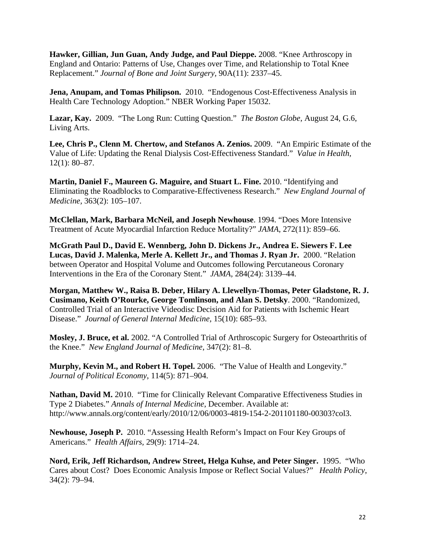**Hawker, Gillian, Jun Guan, Andy Judge, and Paul Dieppe.** 2008. "Knee Arthroscopy in England and Ontario: Patterns of Use, Changes over Time, and Relationship to Total Knee Replacement." *Journal of Bone and Joint Surgery,* 90A(11): 2337–45.

**Jena, Anupam, and Tomas Philipson.** 2010. "Endogenous Cost-Effectiveness Analysis in Health Care Technology Adoption." NBER Working Paper 15032.

**Lazar, Kay.** 2009. "The Long Run: Cutting Question." *The Boston Globe*, August 24, G.6, Living Arts.

**Lee, Chris P., Clenn M. Chertow, and Stefanos A. Zenios.** 2009. "An Empiric Estimate of the Value of Life: Updating the Renal Dialysis Cost-Effectiveness Standard." *Value in Health,* 12(1): 80–87.

**Martin, Daniel F., Maureen G. Maguire, and Stuart L. Fine.** 2010. "Identifying and Eliminating the Roadblocks to Comparative-Effectiveness Research." *New England Journal of Medicine,* 363(2): 105–107.

**McClellan, Mark, Barbara McNeil, and Joseph Newhouse**. 1994. "Does More Intensive Treatment of Acute Myocardial Infarction Reduce Mortality?" *JAMA*, 272(11): 859–66.

**McGrath Paul D., David E. Wennberg, John D. Dickens Jr., Andrea E. Siewers F. Lee Lucas, David J. Malenka, Merle A. Kellett Jr., and Thomas J. Ryan Jr.** 2000. "Relation between Operator and Hospital Volume and Outcomes following Percutaneous Coronary Interventions in the Era of the Coronary Stent." *JAMA,* 284(24): 3139–44.

**Morgan, Matthew W., Raisa B. Deber, Hilary A. Llewellyn-Thomas, Peter Gladstone, R. J. Cusimano, Keith O'Rourke, George Tomlinson, and Alan S. Detsky**. 2000. "Randomized, Controlled Trial of an Interactive Videodisc Decision Aid for Patients with Ischemic Heart Disease." *Journal of General Internal Medicine,* 15(10): 685–93.

**Mosley, J. Bruce, et al.** 2002. "A Controlled Trial of Arthroscopic Surgery for Osteoarthritis of the Knee." *New England Journal of Medicine*, 347(2): 81–8.

**Murphy, Kevin M., and Robert H. Topel.** 2006. "The Value of Health and Longevity." *Journal of Political Economy*, 114(5): 871–904.

**Nathan, David M.** 2010. "Time for Clinically Relevant Comparative Effectiveness Studies in Type 2 Diabetes." *Annals of Internal Medicine*, December. Available at: http://www.annals.org/content/early/2010/12/06/0003-4819-154-2-201101180-00303?col3.

**Newhouse, Joseph P.** 2010. "Assessing Health Reform's Impact on Four Key Groups of Americans." *Health Affairs,* 29(9): 1714–24.

**Nord, Erik, Jeff Richardson, Andrew Street, Helga Kuhse, and Peter Singer.** 1995. "Who Cares about Cost? Does Economic Analysis Impose or Reflect Social Values?" *Health Policy*, 34(2): 79–94.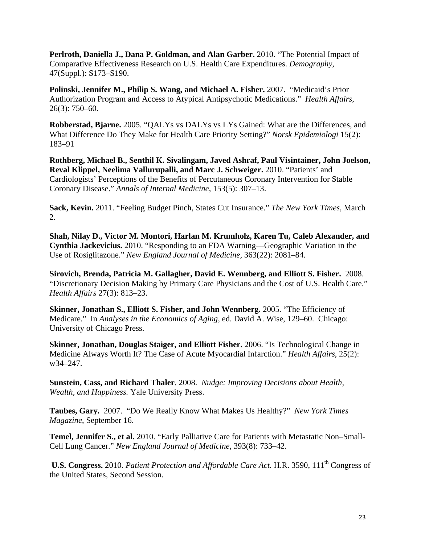**Perlroth, Daniella J., Dana P. Goldman, and Alan Garber.** 2010. "The Potential Impact of Comparative Effectiveness Research on U.S. Health Care Expenditures. *Demography,* 47(Suppl.): S173–S190.

**Polinski, Jennifer M., Philip S. Wang, and Michael A. Fisher.** 2007. "Medicaid's Prior Authorization Program and Access to Atypical Antipsychotic Medications." *Health Affairs*, 26(3): 750–60.

**Robberstad, Bjarne.** 2005. "QALYs vs DALYs vs LYs Gained: What are the Differences, and What Difference Do They Make for Health Care Priority Setting?" *Norsk Epidemiologi* 15(2): 183–91

**Rothberg, Michael B., Senthil K. Sivalingam, Javed Ashraf, Paul Visintainer, John Joelson, Reval Klippel, Neelima Vallurupalli, and Marc J. Schweiger.** 2010. "Patients' and Cardiologists' Perceptions of the Benefits of Percutaneous Coronary Intervention for Stable Coronary Disease." *Annals of Internal Medicine*, 153(5): 307–13.

**Sack, Kevin.** 2011. "Feeling Budget Pinch, States Cut Insurance." *The New York Times,* March 2.

**Shah, Nilay D., Victor M. Montori, Harlan M. Krumholz, Karen Tu, Caleb Alexander, and Cynthia Jackevicius.** 2010. "Responding to an FDA Warning—Geographic Variation in the Use of Rosiglitazone." *New England Journal of Medicine,* 363(22): 2081–84.

**Sirovich, Brenda, Patricia M. Gallagher, David E. Wennberg, and Elliott S. Fisher.** 2008. "Discretionary Decision Making by Primary Care Physicians and the Cost of U.S. Health Care." *Health Affairs* 27(3): 813–23.

**Skinner, Jonathan S., Elliott S. Fisher, and John Wennberg.** 2005. "The Efficiency of Medicare." In *Analyses in the Economics of Aging*, ed. David A. Wise, 129–60. Chicago: University of Chicago Press.

**Skinner, Jonathan, Douglas Staiger, and Elliott Fisher.** 2006. "Is Technological Change in Medicine Always Worth It? The Case of Acute Myocardial Infarction." *Health Affairs*, 25(2): w34–247.

**Sunstein, Cass, and Richard Thaler**. 2008. *Nudge: Improving Decisions about Health, Wealth, and Happiness.* Yale University Press.

**Taubes, Gary.** 2007. "Do We Really Know What Makes Us Healthy?" *New York Times Magazine*, September 16.

**Temel, Jennifer S., et al.** 2010. "Early Palliative Care for Patients with Metastatic Non–Small-Cell Lung Cancer." *New England Journal of Medicine*, 393(8): 733–42.

**U.S. Congress.** 2010. *Patient Protection and Affordable Care Act.* H.R. 3590, 111<sup>th</sup> Congress of the United States, Second Session.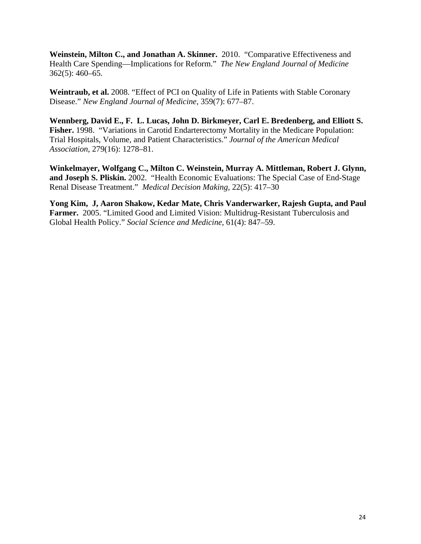**Weinstein, Milton C., and Jonathan A. Skinner.** 2010. "Comparative Effectiveness and Health Care Spending—Implications for Reform." *The New England Journal of Medicine* 362(5): 460–65.

**Weintraub, et al.** 2008. "Effect of PCI on Quality of Life in Patients with Stable Coronary Disease." *New England Journal of Medicine,* 359(7): 677–87.

**Wennberg, David E., F. L. Lucas, John D. Birkmeyer, Carl E. Bredenberg, and Elliott S. Fisher.** 1998. "Variations in Carotid Endarterectomy Mortality in the Medicare Population: Trial Hospitals, Volume, and Patient Characteristics." *Journal of the American Medical Association*, 279(16): 1278–81.

**Winkelmayer, Wolfgang C., Milton C. Weinstein, Murray A. Mittleman, Robert J. Glynn, and Joseph S. Pliskin.** 2002. "Health Economic Evaluations: The Special Case of End-Stage Renal Disease Treatment." *Medical Decision Making,* 22(5): 417–30

**Yong Kim, J, Aaron Shakow, Kedar Mate, Chris Vanderwarker, Rajesh Gupta, and Paul Farmer.** 2005. "Limited Good and Limited Vision: Multidrug-Resistant Tuberculosis and Global Health Policy." *Social Science and Medicine,* 61(4): 847–59.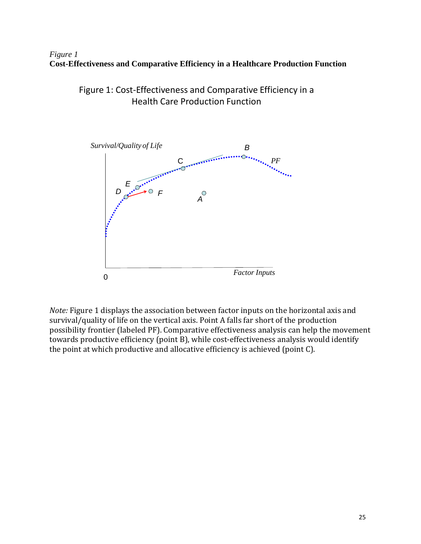# *Figure 1*  **Cost-Effectiveness and Comparative Efficiency in a Healthcare Production Function**





*Note:* Figure 1 displays the association between factor inputs on the horizontal axis and survival/quality of life on the vertical axis. Point A falls far short of the production possibility frontier (labeled PF). Comparative effectiveness analysis can help the movement towards productive efficiency (point B), while cost-effectiveness analysis would identify the point at which productive and allocative efficiency is achieved (point C).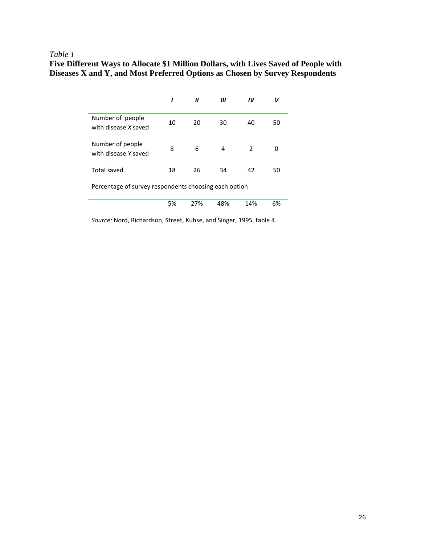# *Table 1*

**Five Different Ways to Allocate \$1 Million Dollars, with Lives Saved of People with Diseases X and Y, and Most Preferred Options as Chosen by Survey Respondents** 

|                                                       |    | "   | Ш   | IV            |    |  |  |  |  |  |
|-------------------------------------------------------|----|-----|-----|---------------|----|--|--|--|--|--|
| Number of people<br>with disease <i>X</i> saved       | 10 | 20  | 30  | 40            | 50 |  |  |  |  |  |
| Number of people<br>with disease Y saved              | 8  | 6   | 4   | $\mathcal{P}$ | O  |  |  |  |  |  |
| Total saved                                           | 18 | 26  | 34  | 42            | 50 |  |  |  |  |  |
| Percentage of survey respondents choosing each option |    |     |     |               |    |  |  |  |  |  |
|                                                       | 5% | 27% | 48% | 14%           | 6% |  |  |  |  |  |

*Source:* Nord, Richardson, Street, Kuhse, and Singer, 1995, table 4.